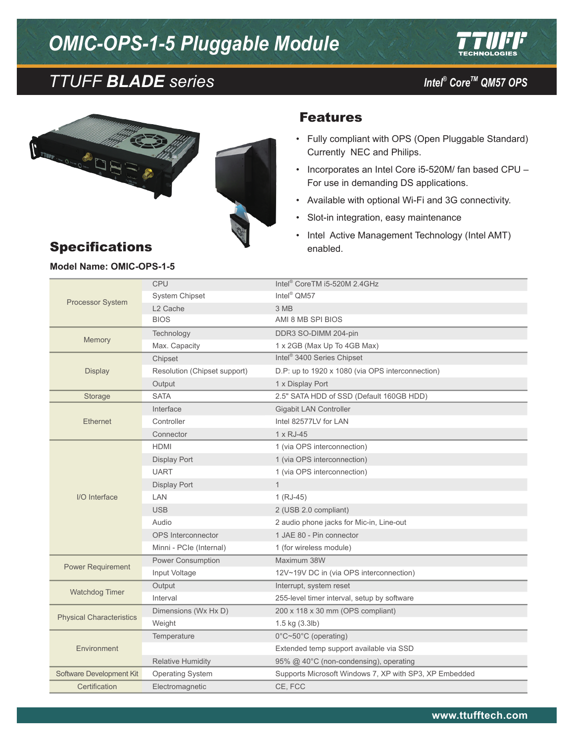# *OMIC-OPS-1-5 Pluggable Module*



# *CoreTM TTUFF BLADE series QM57 OPS*

*Intel<sup>®</sup> Core™ QM57 OPS* 



#### Features

- • Fully compliant with OPS (Open Pluggable Standard) Currently NEC and Philips.
- • Incorporates an Intel Core i5-520M/ fan based CPU For use in demanding DS applications.
- • Available with optional Wi-Fi and 3G connectivity.
- • Slot-in integration, easy maintenance
- Intel Active Management Technology (Intel AMT) enabled.

## Specifications

#### **Model Name: OMIC-OPS-1-5**

| Processor System                | CPU                          | Intel <sup>®</sup> CoreTM i5-520M 2.4GHz               |
|---------------------------------|------------------------------|--------------------------------------------------------|
|                                 | <b>System Chipset</b>        | Intel <sup>®</sup> QM57                                |
|                                 | L <sub>2</sub> Cache         | 3 MB                                                   |
|                                 | <b>BIOS</b>                  | AMI 8 MB SPI BIOS                                      |
| Memory                          | Technology                   | DDR3 SO-DIMM 204-pin                                   |
|                                 | Max. Capacity                | 1 x 2GB (Max Up To 4GB Max)                            |
| <b>Display</b>                  | Chipset                      | Intel <sup>®</sup> 3400 Series Chipset                 |
|                                 | Resolution (Chipset support) | D.P: up to 1920 x 1080 (via OPS interconnection)       |
|                                 | Output                       | 1 x Display Port                                       |
| Storage                         | <b>SATA</b>                  | 2.5" SATA HDD of SSD (Default 160GB HDD)               |
| <b>Ethernet</b>                 | Interface                    | Gigabit LAN Controller                                 |
|                                 | Controller                   | Intel 82577LV for LAN                                  |
|                                 | Connector                    | 1 x RJ-45                                              |
|                                 | HDMI                         | 1 (via OPS interconnection)                            |
|                                 | Display Port                 | 1 (via OPS interconnection)                            |
|                                 | <b>UART</b>                  | 1 (via OPS interconnection)                            |
| I/O Interface                   | <b>Display Port</b>          | $\mathbf{1}$                                           |
|                                 | LAN                          | $1 (RJ-45)$                                            |
|                                 | <b>USB</b>                   | 2 (USB 2.0 compliant)                                  |
|                                 | Audio                        | 2 audio phone jacks for Mic-in, Line-out               |
|                                 | <b>OPS</b> Interconnector    | 1 JAE 80 - Pin connector                               |
|                                 | Minni - PCIe (Internal)      | 1 (for wireless module)                                |
| <b>Power Requirement</b>        | Power Consumption            | Maximum 38W                                            |
|                                 | Input Voltage                | 12V~19V DC in (via OPS interconnection)                |
| Watchdog Timer                  | Output                       | Interrupt, system reset                                |
|                                 | Interval                     | 255-level timer interval, setup by software            |
| <b>Physical Characteristics</b> | Dimensions (Wx Hx D)         | 200 x 118 x 30 mm (OPS compliant)                      |
|                                 | Weight                       | 1.5 kg (3.3lb)                                         |
| Environment                     | Temperature                  | 0°C~50°C (operating)                                   |
|                                 |                              | Extended temp support available via SSD                |
|                                 | <b>Relative Humidity</b>     | 95% @ 40°C (non-condensing), operating                 |
| Software Development Kit        | <b>Operating System</b>      | Supports Microsoft Windows 7, XP with SP3, XP Embedded |
| Certification                   | Electromagnetic              | CE, FCC                                                |